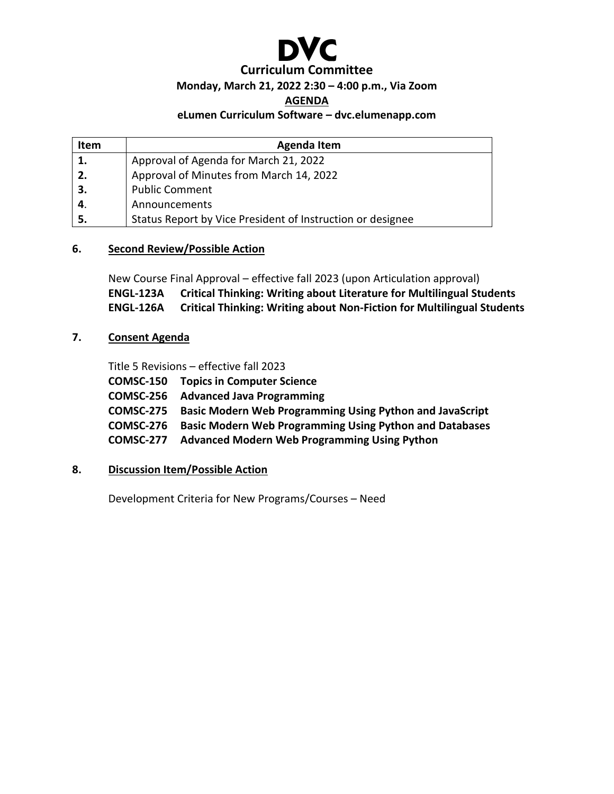

# **Curriculum Committee**

# **Monday, March 21, 2022 2:30 – 4:00 p.m., Via Zoom**

#### **AGENDA**

#### **eLumen Curriculum Software – dvc.elumenapp.com**

| Item | <b>Agenda Item</b>                                         |
|------|------------------------------------------------------------|
| 1.   | Approval of Agenda for March 21, 2022                      |
| 2.   | Approval of Minutes from March 14, 2022                    |
| 3.   | <b>Public Comment</b>                                      |
| 4.   | Announcements                                              |
| 5.   | Status Report by Vice President of Instruction or designee |

#### **6. Second Review/Possible Action**

New Course Final Approval – effective fall 2023 (upon Articulation approval) **ENGL-123A Critical Thinking: Writing about Literature for Multilingual Students ENGL-126A Critical Thinking: Writing about Non-Fiction for Multilingual Students**

## **7. Consent Agenda**

Title 5 Revisions – effective fall 2023

**COMSC-150 Topics in Computer Science COMSC-256 Advanced Java Programming COMSC-275 Basic Modern Web Programming Using Python and JavaScript COMSC-276 Basic Modern Web Programming Using Python and Databases COMSC-277 Advanced Modern Web Programming Using Python**

## **8. Discussion Item/Possible Action**

Development Criteria for New Programs/Courses – Need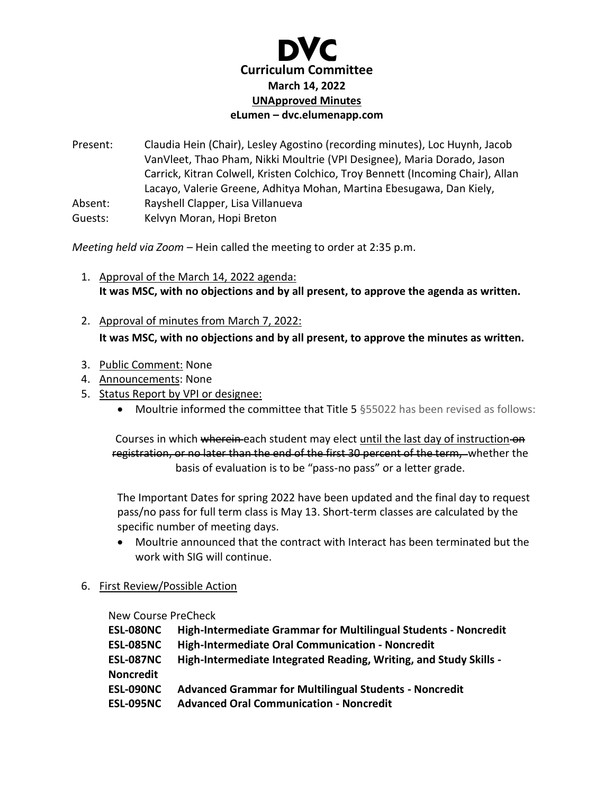

Present: Claudia Hein (Chair), Lesley Agostino (recording minutes), Loc Huynh, Jacob VanVleet, Thao Pham, Nikki Moultrie (VPI Designee), Maria Dorado, Jason Carrick, Kitran Colwell, Kristen Colchico, Troy Bennett (Incoming Chair), Allan Lacayo, Valerie Greene, Adhitya Mohan, Martina Ebesugawa, Dan Kiely, Absent: Rayshell Clapper, Lisa Villanueva Guests: Kelvyn Moran, Hopi Breton

*Meeting held via Zoom –* Hein called the meeting to order at 2:35 p.m.

- 1. Approval of the March 14, 2022 agenda: **It was MSC, with no objections and by all present, to approve the agenda as written.**
- 2. Approval of minutes from March 7, 2022: **It was MSC, with no objections and by all present, to approve the minutes as written.**
- 3. Public Comment: None
- 4. Announcements: None
- 5. Status Report by VPI or designee:
	- Moultrie informed the committee that Title 5 §55022 has been revised as follows:

Courses in which wherein each student may elect until the last day of instruction on registration, or no later than the end of the first 30 percent of the term, whether the basis of evaluation is to be "pass-no pass" or a letter grade.

The Important Dates for spring 2022 have been updated and the final day to request pass/no pass for full term class is May 13. Short-term classes are calculated by the specific number of meeting days.

- Moultrie announced that the contract with Interact has been terminated but the work with SIG will continue.
- 6. First Review/Possible Action

New Course PreCheck

| <b>ESL-080NC</b> | <b>High-Intermediate Grammar for Multilingual Students - Noncredit</b> |
|------------------|------------------------------------------------------------------------|
| <b>ESL-085NC</b> | High-Intermediate Oral Communication - Noncredit                       |
| <b>ESL-087NC</b> | High-Intermediate Integrated Reading, Writing, and Study Skills -      |
| <b>Noncredit</b> |                                                                        |
| <b>ESL-090NC</b> | <b>Advanced Grammar for Multilingual Students - Noncredit</b>          |
| <b>ESL-095NC</b> | <b>Advanced Oral Communication - Noncredit</b>                         |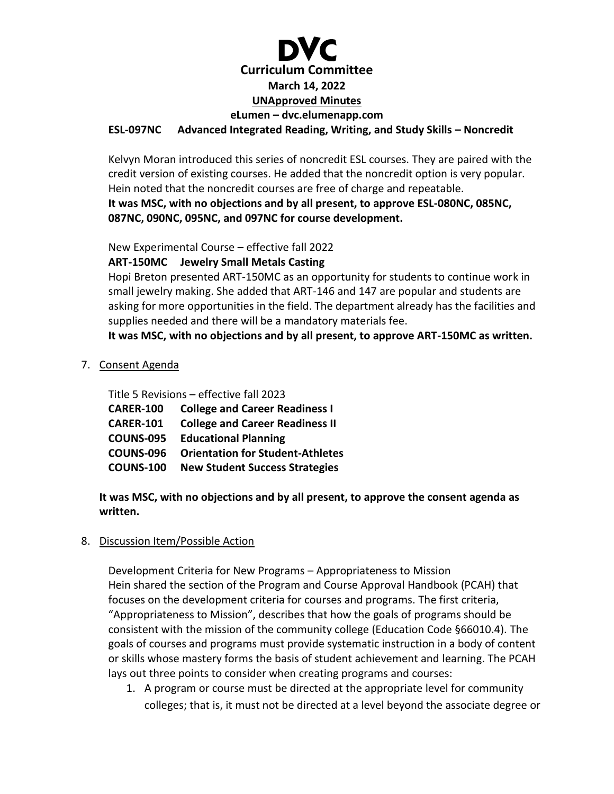# **Curriculum Committee March 14, 2022 UNApproved Minutes eLumen – dvc.elumenapp.com ESL-097NC Advanced Integrated Reading, Writing, and Study Skills – Noncredit**

Kelvyn Moran introduced this series of noncredit ESL courses. They are paired with the credit version of existing courses. He added that the noncredit option is very popular. Hein noted that the noncredit courses are free of charge and repeatable. **It was MSC, with no objections and by all present, to approve ESL-080NC, 085NC, 087NC, 090NC, 095NC, and 097NC for course development.** 

New Experimental Course – effective fall 2022

**ART-150MC Jewelry Small Metals Casting**

Hopi Breton presented ART-150MC as an opportunity for students to continue work in small jewelry making. She added that ART-146 and 147 are popular and students are asking for more opportunities in the field. The department already has the facilities and supplies needed and there will be a mandatory materials fee.

**It was MSC, with no objections and by all present, to approve ART-150MC as written.**

7. Consent Agenda

Title 5 Revisions – effective fall 2023

| <b>CARER-100</b> | <b>College and Career Readiness I</b>   |
|------------------|-----------------------------------------|
| <b>CARER-101</b> | <b>College and Career Readiness II</b>  |
| <b>COUNS-095</b> | <b>Educational Planning</b>             |
| <b>COUNS-096</b> | <b>Orientation for Student-Athletes</b> |
| <b>COUNS-100</b> | <b>New Student Success Strategies</b>   |

**It was MSC, with no objections and by all present, to approve the consent agenda as written.**

# 8. Discussion Item/Possible Action

Development Criteria for New Programs – Appropriateness to Mission Hein shared the section of the Program and Course Approval Handbook (PCAH) that focuses on the development criteria for courses and programs. The first criteria, "Appropriateness to Mission", describes that how the goals of programs should be consistent with the mission of the community college (Education Code §66010.4). The goals of courses and programs must provide systematic instruction in a body of content or skills whose mastery forms the basis of student achievement and learning. The PCAH lays out three points to consider when creating programs and courses:

1. A program or course must be directed at the appropriate level for community colleges; that is, it must not be directed at a level beyond the associate degree or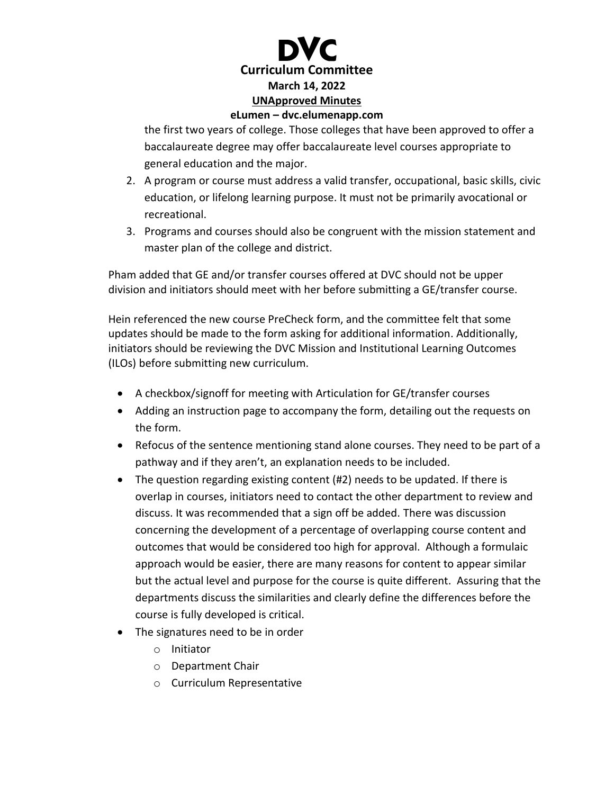

the first two years of college. Those colleges that have been approved to offer a baccalaureate degree may offer baccalaureate level courses appropriate to general education and the major.

- 2. A program or course must address a valid transfer, occupational, basic skills, civic education, or lifelong learning purpose. It must not be primarily avocational or recreational.
- 3. Programs and courses should also be congruent with the mission statement and master plan of the college and district.

Pham added that GE and/or transfer courses offered at DVC should not be upper division and initiators should meet with her before submitting a GE/transfer course.

Hein referenced the new course PreCheck form, and the committee felt that some updates should be made to the form asking for additional information. Additionally, initiators should be reviewing the DVC Mission and Institutional Learning Outcomes (ILOs) before submitting new curriculum.

- A checkbox/signoff for meeting with Articulation for GE/transfer courses
- Adding an instruction page to accompany the form, detailing out the requests on the form.
- Refocus of the sentence mentioning stand alone courses. They need to be part of a pathway and if they aren't, an explanation needs to be included.
- The question regarding existing content (#2) needs to be updated. If there is overlap in courses, initiators need to contact the other department to review and discuss. It was recommended that a sign off be added. There was discussion concerning the development of a percentage of overlapping course content and outcomes that would be considered too high for approval. Although a formulaic approach would be easier, there are many reasons for content to appear similar but the actual level and purpose for the course is quite different. Assuring that the departments discuss the similarities and clearly define the differences before the course is fully developed is critical.
- The signatures need to be in order
	- o Initiator
	- o Department Chair
	- o Curriculum Representative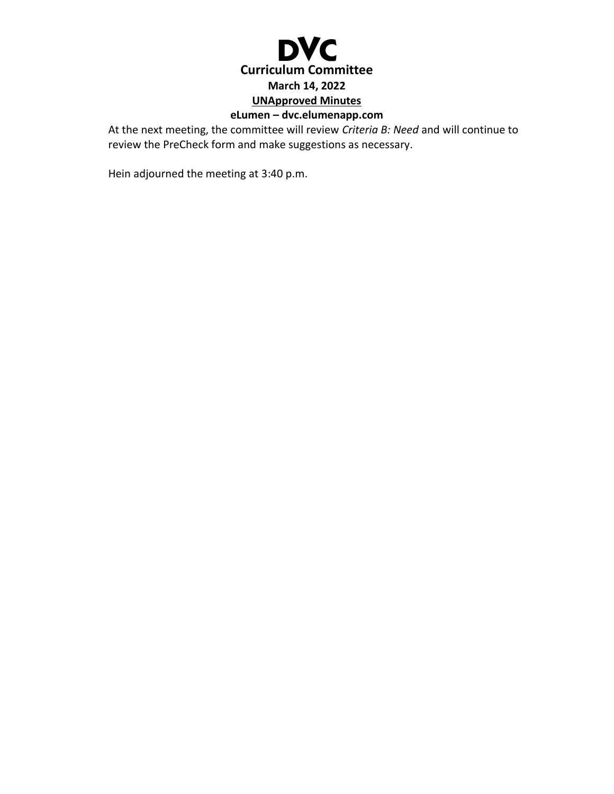

# **eLumen – dvc.elumenapp.com**

At the next meeting, the committee will review *Criteria B: Need* and will continue to review the PreCheck form and make suggestions as necessary.

Hein adjourned the meeting at 3:40 p.m.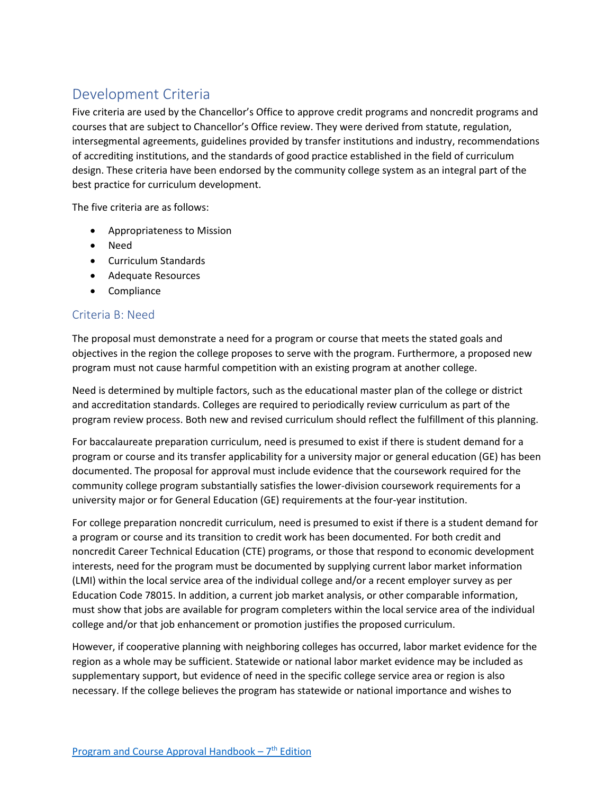# Development Criteria

Five criteria are used by the Chancellor's Office to approve credit programs and noncredit programs and courses that are subject to Chancellor's Office review. They were derived from statute, regulation, intersegmental agreements, guidelines provided by transfer institutions and industry, recommendations of accrediting institutions, and the standards of good practice established in the field of curriculum design. These criteria have been endorsed by the community college system as an integral part of the best practice for curriculum development.

The five criteria are as follows:

- Appropriateness to Mission
- Need
- Curriculum Standards
- Adequate Resources
- Compliance

## Criteria B: Need

The proposal must demonstrate a need for a program or course that meets the stated goals and objectives in the region the college proposes to serve with the program. Furthermore, a proposed new program must not cause harmful competition with an existing program at another college.

Need is determined by multiple factors, such as the educational master plan of the college or district and accreditation standards. Colleges are required to periodically review curriculum as part of the program review process. Both new and revised curriculum should reflect the fulfillment of this planning.

For baccalaureate preparation curriculum, need is presumed to exist if there is student demand for a program or course and its transfer applicability for a university major or general education (GE) has been documented. The proposal for approval must include evidence that the coursework required for the community college program substantially satisfies the lower-division coursework requirements for a university major or for General Education (GE) requirements at the four-year institution.

For college preparation noncredit curriculum, need is presumed to exist if there is a student demand for a program or course and its transition to credit work has been documented. For both credit and noncredit Career Technical Education (CTE) programs, or those that respond to economic development interests, need for the program must be documented by supplying current labor market information (LMI) within the local service area of the individual college and/or a recent employer survey as per Education Code 78015. In addition, a current job market analysis, or other comparable information, must show that jobs are available for program completers within the local service area of the individual college and/or that job enhancement or promotion justifies the proposed curriculum.

However, if cooperative planning with neighboring colleges has occurred, labor market evidence for the region as a whole may be sufficient. Statewide or national labor market evidence may be included as supplementary support, but evidence of need in the specific college service area or region is also necessary. If the college believes the program has statewide or national importance and wishes to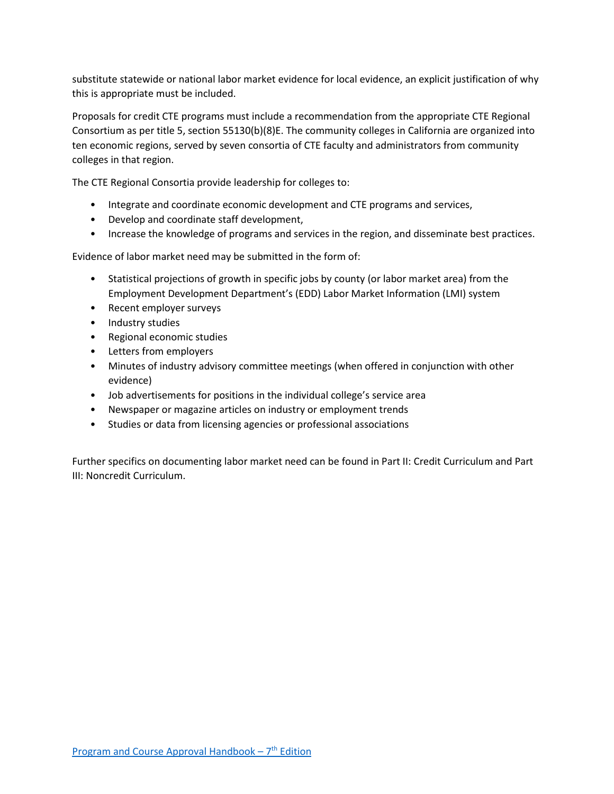substitute statewide or national labor market evidence for local evidence, an explicit justification of why this is appropriate must be included.

Proposals for credit CTE programs must include a recommendation from the appropriate CTE Regional Consortium as per title 5, section 55130(b)(8)E. The community colleges in California are organized into ten economic regions, served by seven consortia of CTE faculty and administrators from community colleges in that region.

The CTE Regional Consortia provide leadership for colleges to:

- Integrate and coordinate economic development and CTE programs and services,
- Develop and coordinate staff development,
- Increase the knowledge of programs and services in the region, and disseminate best practices.

Evidence of labor market need may be submitted in the form of:

- Statistical projections of growth in specific jobs by county (or labor market area) from the Employment Development Department's (EDD) Labor Market Information (LMI) system
- Recent employer surveys
- Industry studies
- Regional economic studies
- Letters from employers
- Minutes of industry advisory committee meetings (when offered in conjunction with other evidence)
- Job advertisements for positions in the individual college's service area
- Newspaper or magazine articles on industry or employment trends
- Studies or data from licensing agencies or professional associations

Further specifics on documenting labor market need can be found in Part II: Credit Curriculum and Part III: Noncredit Curriculum.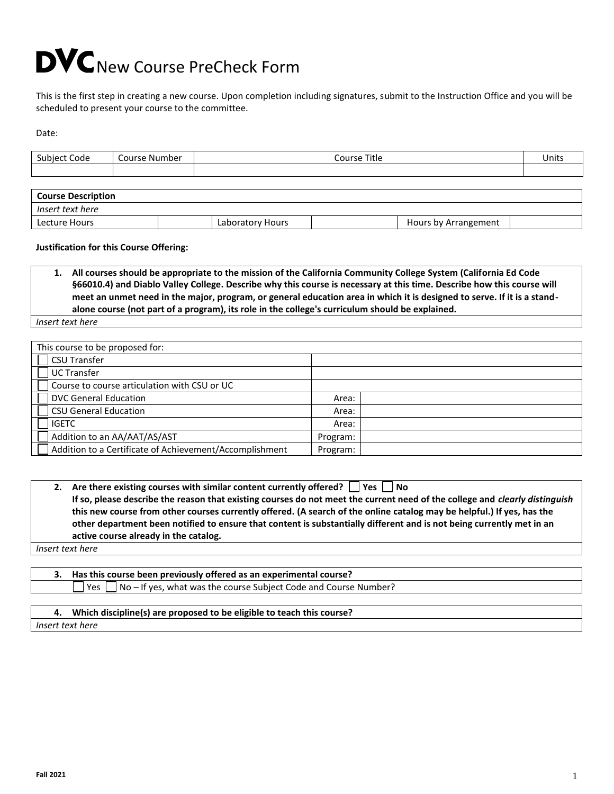# DVC New Course PreCheck Form

This is the first step in creating a new course. Upon completion including signatures, submit to the Instruction Office and you will be scheduled to present your course to the committee.

Date:

| Course Number | Course Title | <b>Units</b> |
|---------------|--------------|--------------|
|               |              |              |
|               |              |              |
|               |              |              |

| <b>Course Description</b> |                  |                      |  |
|---------------------------|------------------|----------------------|--|
| Insert text here          |                  |                      |  |
| Lecture Hours             | Laboratory Hours | Hours by Arrangement |  |

#### **Justification for this Course Offering:**

**1. All courses should be appropriate to the mission of the California Community College System (California Ed Code §66010.4) and Diablo Valley College. Describe why this course is necessary at this time. Describe how this course will meet an unmet need in the major, program, or general education area in which it is designed to serve. If it is a standalone course (not part of a program), its role in the college's curriculum should be explained.**

*Insert text here*

| This course to be proposed for:                         |          |  |
|---------------------------------------------------------|----------|--|
| <b>CSU Transfer</b>                                     |          |  |
| UC Transfer                                             |          |  |
| Course to course articulation with CSU or UC            |          |  |
| <b>DVC General Education</b>                            | Area:    |  |
| <b>CSU General Education</b>                            | Area:    |  |
| <b>IGETC</b>                                            | Area:    |  |
| Addition to an AA/AAT/AS/AST                            | Program: |  |
| Addition to a Certificate of Achievement/Accomplishment | Program: |  |

| 2. Are there existing courses with similar content currently offered? $\vert \vert$ Yes $\vert \vert$ No                           |
|------------------------------------------------------------------------------------------------------------------------------------|
| If so, please describe the reason that existing courses do not meet the current need of the college and <i>clearly distinguish</i> |
| this new course from other courses currently offered. (A search of the online catalog may be helpful.) If yes, has the             |
| other department been notified to ensure that content is substantially different and is not being currently met in an              |
| active course already in the catalog.                                                                                              |
|                                                                                                                                    |

*Insert text here*

**3. Has this course been previously offered as an experimental course?**  Yes  $\Box$  No – If yes, what was the course Subject Code and Course Number?

#### **4. Which discipline(s) are proposed to be eligible to teach this course?**

*Insert text here*